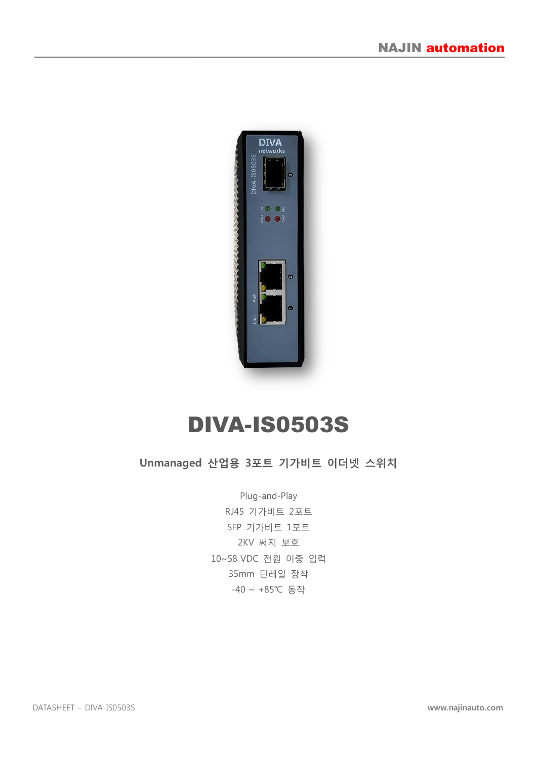

# DIVA-IS0503S

#### Unmanaged 산업용 3포트 기가비트 이더넷 스위치

Plug-and-Play RJ45 기가비트 2포트 SFP 기가비트 1포트 2KV 써지 보호 10~58 VDC 전원 이중 입력 35mm 딘레일 장착 -40 ~ +85℃ 동작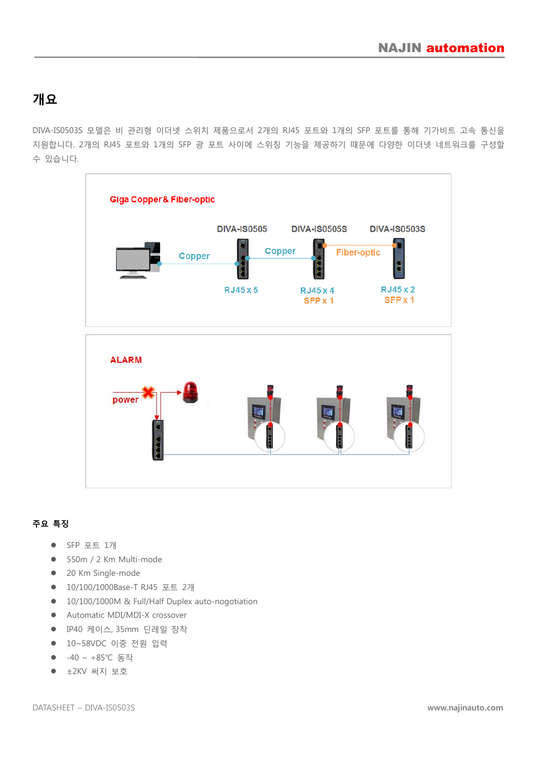## 개요

DIVA-IS0503S 모델은 비 관리형 이더넷 스위치 제품으로서 2개의 RJ45 포트와 1개의 SFP 포트를 통해 기가비트 고속 통신을 지원합니다. 2개의 RJ45 포트와 1개의 SFP 광 포트 사이에 스위칭 기능을 제공하기 때문에 다양한 이더넷 네트워크를 구성할 수 있습니다.



#### 주요 특징

- SFP 포트 1개
- 550m / 2 Km Multi-mode
- 20 Km Single-mode
- 10/100/1000Base-T RJ45 포트 2개
- 10/100/1000M & Full/Half Duplex auto-nogotiation
- Automatic MDI/MDI-X crossover
- IP40 케이스, 35mm 딘레일 장착
- 10~58VDC 이중 전원 입력
- -40 ~ +85℃ 동작
- ±2KV 써지 보호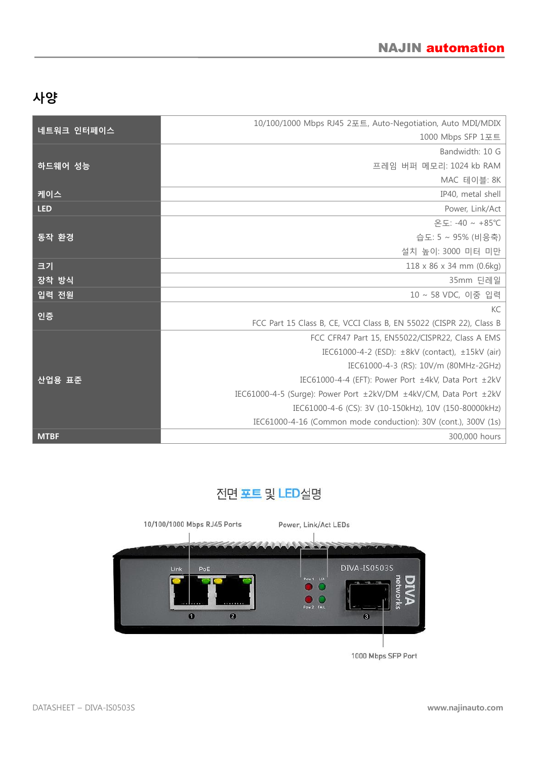# 사양

| 네트워크 인터페이스  | 10/100/1000 Mbps RJ45 2포트, Auto-Negotiation, Auto MDI/MDIX          |
|-------------|---------------------------------------------------------------------|
|             | 1000 Mbps SFP 1포트                                                   |
|             | Bandwidth: 10 G                                                     |
| 하드웨어 성능     | 프레임 버퍼 메모리: 1024 kb RAM                                             |
|             | MAC 테이블: 8K                                                         |
| 케이스         | IP40, metal shell                                                   |
| <b>LED</b>  | Power, Link/Act                                                     |
|             | 온도: -40 ~ +85℃                                                      |
| 동작 환경       | 습도: 5 ~ 95% (비응축)                                                   |
|             | 설치 높이: 3000 미터 미만                                                   |
| 크기          | $118 \times 86 \times 34$ mm (0.6kg)                                |
| 장착 방식       | 35mm 딘레일                                                            |
| 입력 전원       | 10 ~ 58 VDC, 이중 입력                                                  |
|             | KC                                                                  |
| 인증          | FCC Part 15 Class B, CE, VCCI Class B, EN 55022 (CISPR 22), Class B |
|             | FCC CFR47 Part 15, EN55022/CISPR22, Class A EMS                     |
|             | IEC61000-4-2 (ESD): ±8kV (contact), ±15kV (air)                     |
|             | IEC61000-4-3 (RS): 10V/m (80MHz-2GHz)                               |
| 산업용 표준      | IEC61000-4-4 (EFT): Power Port ±4kV, Data Port ±2kV                 |
|             | IEC61000-4-5 (Surge): Power Port ±2kV/DM ±4kV/CM, Data Port ±2kV    |
|             | IEC61000-4-6 (CS): 3V (10-150kHz), 10V (150-80000kHz)               |
|             | IEC61000-4-16 (Common mode conduction): 30V (cont.), 300V (1s)      |
| <b>MTBF</b> | 300,000 hours                                                       |

# 전면 포트 및 LED설명



1000 Mbps SFP Port